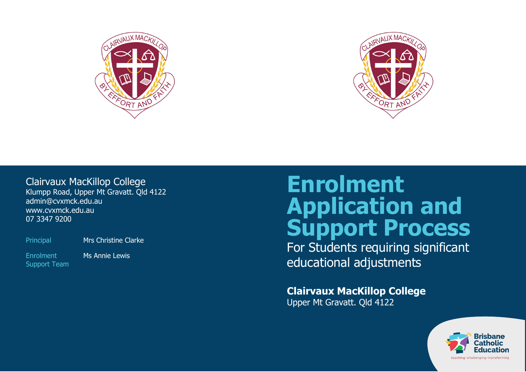



## Clairvaux MacKillop College

Klumpp Road, Upper Mt Gravatt. Qld 4122 admin@cvxmck.edu.au www.cvxmck.edu.au 07 3347 9200

Principal Mrs Christine Clarke

Enrolment Support Team Ms Annie Lewis

# **Enrolment Application and Support Process**

For Students requiring significant educational adjustments

**Clairvaux MacKillop College** Upper Mt Gravatt. Qld 4122